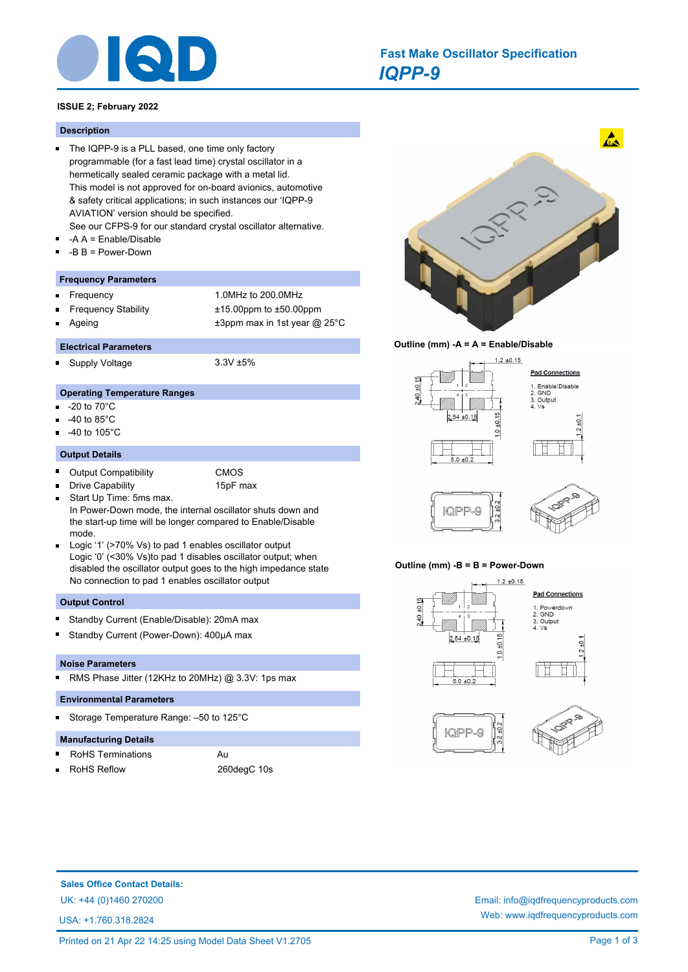

# *IQPP-9* **Fast Make Oscillator Specification**

# **ISSUE 2; February 2022**

#### **Description**

- The IQPP-9 is a PLL based, one time only factory programmable (for a fast lead time) crystal oscillator in a hermetically sealed ceramic package with a metal lid. This model is not approved for on-board avionics, automotive & safety critical applications; in such instances our 'IQPP-9 AVIATION' version should be specified.
	- See our CFPS-9 for our standard crystal oscillator alternative.
- -A A = Enable/Disable  $\blacksquare$
- -B B = Power-Down

#### **Frequency Parameters**

- Frequency 1.0MHz to 200.0MHz n
- Frequency Stability ±15.00ppm to ±50.00ppm
- Ageing  $\pm 3$ ppm max in 1st year @ 25°C

#### **Electrical Parameters**

Supply Voltage 3.3V ±5% n.

#### **Operating Temperature Ranges**

- -20 to 70°C
- -40 to 85°C
- -40 to 105°C

#### **Output Details**

 $\blacksquare$ 

- $\blacksquare$ Output Compatibility CMOS
	-
	- Drive Capability 15pF max
- Start Up Time: 5ms max.  $\blacksquare$ In Power-Down mode, the internal oscillator shuts down and the start-up time will be longer compared to Enable/Disable mode.
- Logic '1' (>70% Vs) to pad 1 enables oscillator output Logic '0' (<30% Vs)to pad 1 disables oscillator output; when disabled the oscillator output goes to the high impedance state No connection to pad 1 enables oscillator output

# **Output Control**

- Standby Current (Enable/Disable): 20mA max
- Standby Current (Power-Down): 400µA max

#### **Noise Parameters**

RMS Phase Jitter (12KHz to 20MHz) @ 3.3V: 1ps max  $\blacksquare$ 

#### **Environmental Parameters**

Storage Temperature Range: –50 to 125°C

# **Manufacturing Details**

- RoHS Terminations Au
- 

RoHS Reflow 260degC 10s







#### **Outline (mm) -B = B = Power-Down**



**Sales Office Contact Details:**

USA: +1.760.318.2824

UK: +44 (0)1460 270200 Email: info@iqdfrequencyproducts.com Web: www.iqdfrequencyproducts.com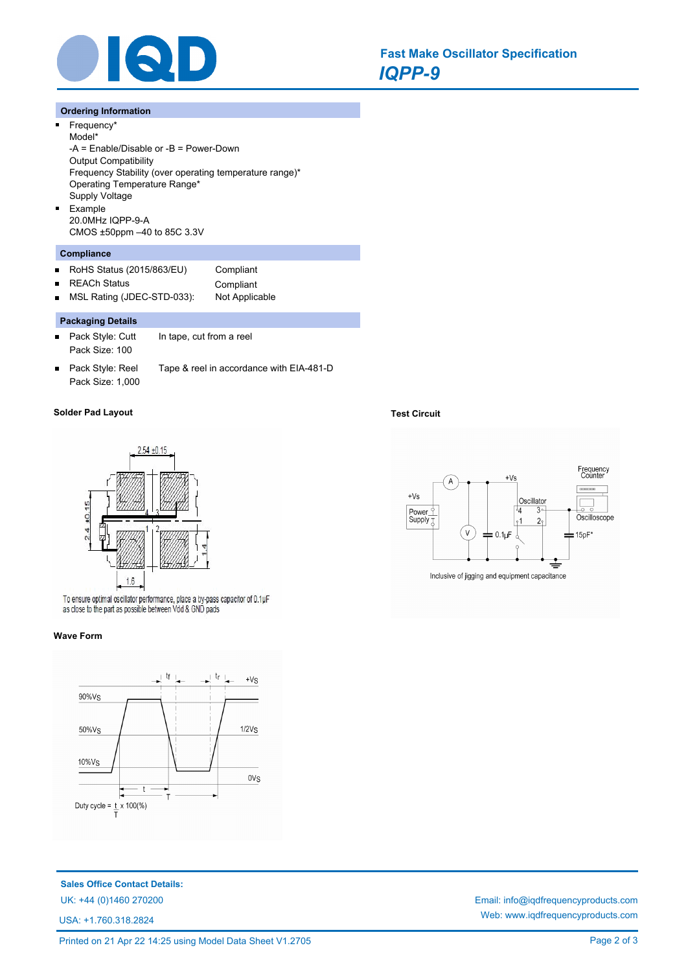

# **Ordering Information**

 $\blacksquare$ 

 $\blacksquare$ 

Frequency\* Model\* -A = Enable/Disable or -B = Power-Down Output Compatibility Frequency Stability (over operating temperature range)\* Operating Temperature Range\* Supply Voltage Example 20.0MHz IQPP-9-A CMOS ±50ppm –40 to 85C 3.3V

# **Compliance**

- RoHS Status (2015/863/EU) Compliant  $\blacksquare$
- $\blacksquare$

REACh Status **Compliant** 

MSL Rating (JDEC-STD-033): Not Applicable  $\blacksquare$ 

# **Packaging Details**

- $\blacksquare$ Pack Style: Cutt In tape, cut from a reel Pack Size: 100
- Pack Style: Reel Tape & reel in accordance with EIA-481-D  $\blacksquare$ Pack Size: 1,000

# **Solder Pad Layout Test Circuit**



To ensure optimal oscillator performance, place a by-pass capacitor of 0.1µF as close to the part as possible between Vdd & GND pads

#### **Wave Form**



**Sales Office Contact Details:**

USA: +1.760.318.2824





UK: +44 (0)1460 270200 Email: info@iqdfrequencyproducts.com Web: www.iqdfrequencyproducts.com